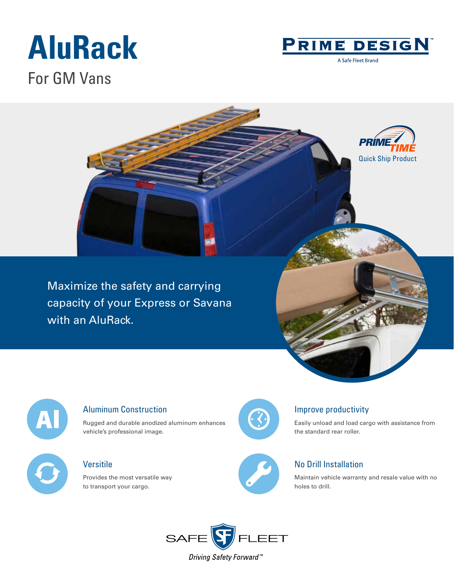# **AluRack**



A Safe Fleet Brand

### For GM Vans





#### Aluminum Construction

Rugged and durable anodized aluminum enhances vehicle's professional image.

#### Versitile

Provides the most versatile way to transport your cargo.



#### Improve productivity

Easily unload and load cargo with assistance from the standard rear roller.



#### No Drill Installation

Maintain vehicle warranty and resale value with no holes to drill.